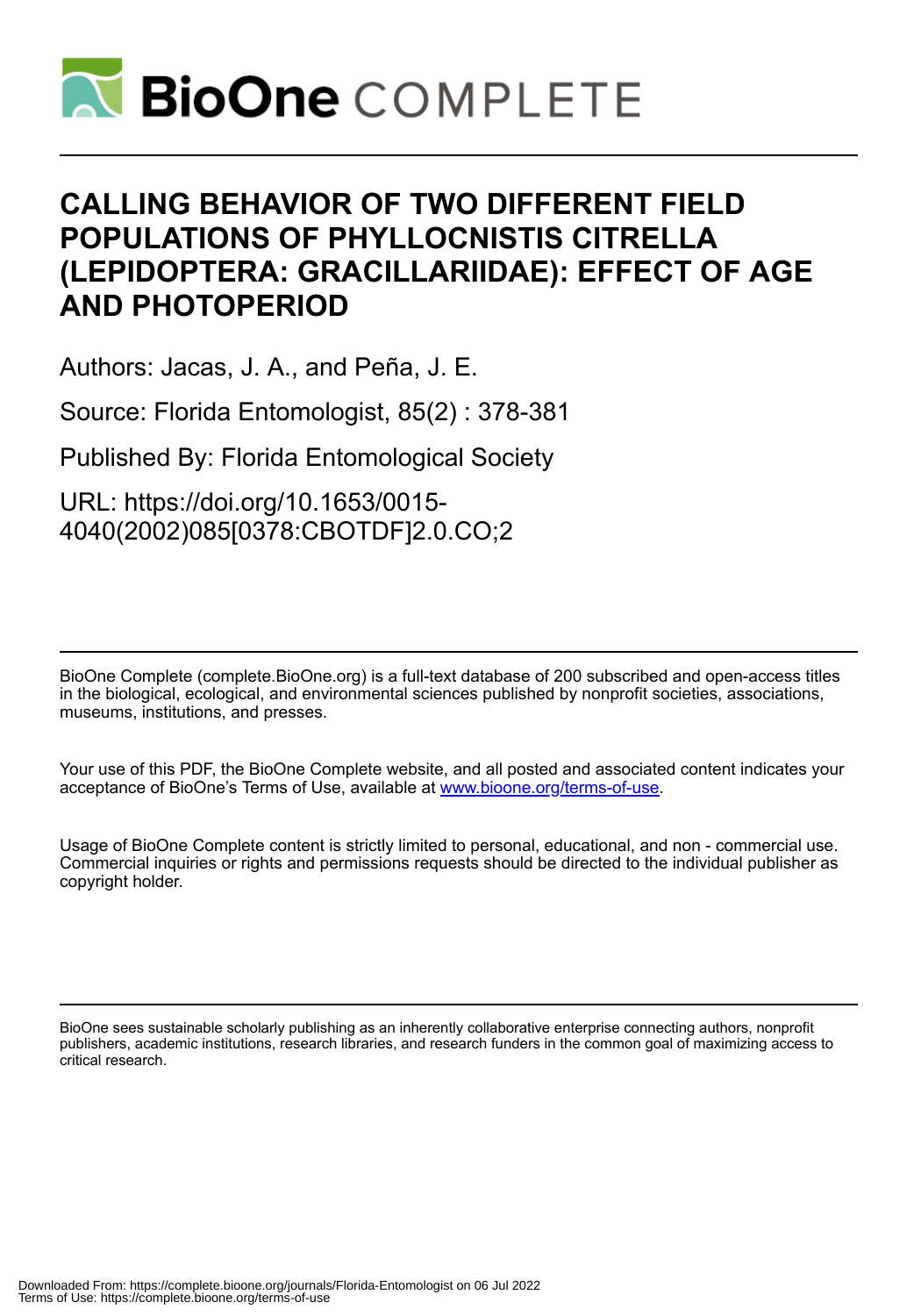

## **CALLING BEHAVIOR OF TWO DIFFERENT FIELD POPULATIONS OF PHYLLOCNISTIS CITRELLA (LEPIDOPTERA: GRACILLARIIDAE): EFFECT OF AGE AND PHOTOPERIOD**

Authors: Jacas, J. A., and Peña, J. E.

Source: Florida Entomologist, 85(2) : 378-381

Published By: Florida Entomological Society

URL: https://doi.org/10.1653/0015- 4040(2002)085[0378:CBOTDF]2.0.CO;2

BioOne Complete (complete.BioOne.org) is a full-text database of 200 subscribed and open-access titles in the biological, ecological, and environmental sciences published by nonprofit societies, associations, museums, institutions, and presses.

Your use of this PDF, the BioOne Complete website, and all posted and associated content indicates your acceptance of BioOne's Terms of Use, available at www.bioone.org/terms-of-use.

Usage of BioOne Complete content is strictly limited to personal, educational, and non - commercial use. Commercial inquiries or rights and permissions requests should be directed to the individual publisher as copyright holder.

BioOne sees sustainable scholarly publishing as an inherently collaborative enterprise connecting authors, nonprofit publishers, academic institutions, research libraries, and research funders in the common goal of maximizing access to critical research.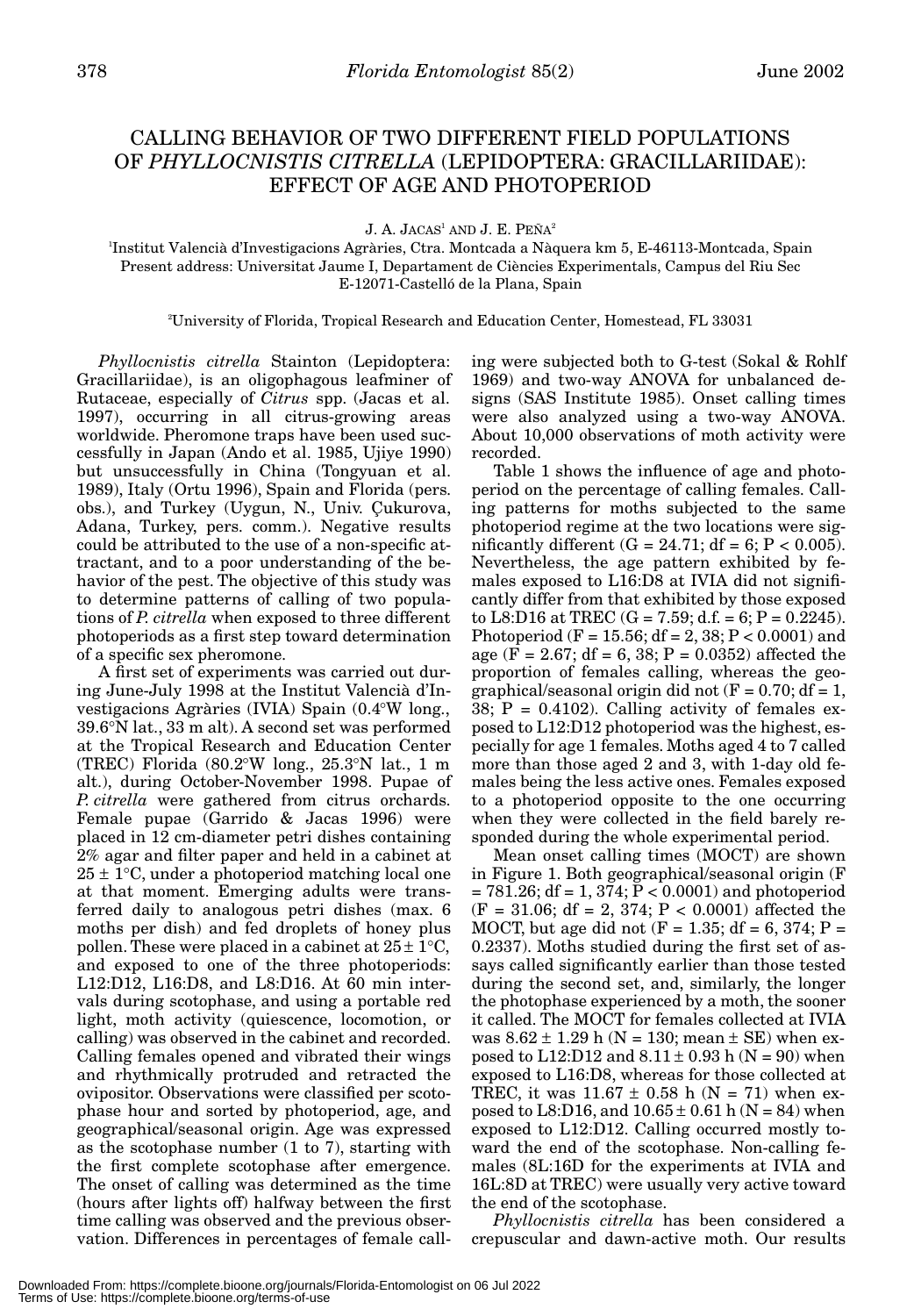## CALLING BEHAVIOR OF TWO DIFFERENT FIELD POPULATIONS OF *PHYLLOCNISTIS CITRELLA* (LEPIDOPTERA: GRACILLARIIDAE): EFFECT OF AGE AND PHOTOPERIOD

J. A. JACAS<sup>1</sup> AND J. E. PEÑA<sup>2</sup>

1 Institut Valencià d'Investigacions Agràries, Ctra. Montcada a Nàquera km 5, E-46113-Montcada, Spain Present address: Universitat Jaume I, Departament de Ciències Experimentals, Campus del Riu Sec E-12071-Castelló de la Plana, Spain

2 University of Florida, Tropical Research and Education Center, Homestead, FL 33031

*Phyllocnistis citrella* Stainton (Lepidoptera: Gracillariidae), is an oligophagous leafminer of Rutaceae, especially of *Citrus* spp. (Jacas et al. 1997), occurring in all citrus-growing areas worldwide. Pheromone traps have been used successfully in Japan (Ando et al. 1985, Ujiye 1990) but unsuccessfully in China (Tongyuan et al. 1989), Italy (Ortu 1996), Spain and Florida (pers. obs.), and Turkey (Uygun, N., Univ. Çukurova, Adana, Turkey, pers. comm.). Negative results could be attributed to the use of a non-specific attractant, and to a poor understanding of the behavior of the pest. The objective of this study was to determine patterns of calling of two populations of *P. citrella* when exposed to three different photoperiods as a first step toward determination of a specific sex pheromone.

A first set of experiments was carried out during June-July 1998 at the Institut Valencià d'Investigacions Agràries (IVIA) Spain (0.4°W long., 39.6°N lat., 33 m alt). A second set was performed at the Tropical Research and Education Center (TREC) Florida (80.2°W long., 25.3°N lat., 1 m alt.), during October-November 1998. Pupae of *P. citrella* were gathered from citrus orchards. Female pupae (Garrido & Jacas 1996) were placed in 12 cm-diameter petri dishes containing 2% agar and filter paper and held in a cabinet at  $25 \pm 1$ °C, under a photoperiod matching local one at that moment. Emerging adults were transferred daily to analogous petri dishes (max. 6 moths per dish) and fed droplets of honey plus pollen. These were placed in a cabinet at  $25 \pm 1^{\circ}C$ , and exposed to one of the three photoperiods: L12:D12, L16:D8, and L8:D16. At 60 min intervals during scotophase, and using a portable red light, moth activity (quiescence, locomotion, or calling) was observed in the cabinet and recorded. Calling females opened and vibrated their wings and rhythmically protruded and retracted the ovipositor. Observations were classified per scotophase hour and sorted by photoperiod, age, and geographical/seasonal origin. Age was expressed as the scotophase number (1 to 7), starting with the first complete scotophase after emergence. The onset of calling was determined as the time (hours after lights off) halfway between the first time calling was observed and the previous observation. Differences in percentages of female call-

ing were subjected both to G-test (Sokal & Rohlf 1969) and two-way ANOVA for unbalanced designs (SAS Institute 1985). Onset calling times were also analyzed using a two-way ANOVA. About 10,000 observations of moth activity were recorded.

Table 1 shows the influence of age and photoperiod on the percentage of calling females. Calling patterns for moths subjected to the same photoperiod regime at the two locations were significantly different  $(G = 24.71; df = 6; P < 0.005)$ . Nevertheless, the age pattern exhibited by females exposed to L16:D8 at IVIA did not significantly differ from that exhibited by those exposed to L8:D16 at TREC  $(G = 7.59; d.f. = 6; P = 0.2245)$ . Photoperiod (F = 15.56; df = 2, 38; P < 0.0001) and age (F = 2.67; df = 6, 38; P = 0.0352) affected the proportion of females calling, whereas the geographical/seasonal origin did not  $(F = 0.70; df = 1,$ 38;  $P = 0.4102$ . Calling activity of females exposed to L12:D12 photoperiod was the highest, especially for age 1 females. Moths aged 4 to 7 called more than those aged 2 and 3, with 1-day old females being the less active ones. Females exposed to a photoperiod opposite to the one occurring when they were collected in the field barely responded during the whole experimental period.

Mean onset calling times (MOCT) are shown in Figure 1. Both geographical/seasonal origin (F  $= 781.26$ ; df  $= 1, 374$ ;  $P < 0.0001$ ) and photoperiod  $(F = 31.06; df = 2, 374; P < 0.0001)$  affected the MOCT, but age did not  $(F = 1.35; df = 6, 374; P =$ 0.2337). Moths studied during the first set of assays called significantly earlier than those tested during the second set, and, similarly, the longer the photophase experienced by a moth, the sooner it called. The MOCT for females collected at IVIA was  $8.62 \pm 1.29$  h (N = 130; mean  $\pm$  SE) when exposed to L12:D12 and  $8.11 \pm 0.93$  h (N = 90) when exposed to L16:D8, whereas for those collected at TREC, it was  $11.67 \pm 0.58$  h (N = 71) when exposed to L8:D16, and  $10.65 \pm 0.61$  h (N = 84) when exposed to L12:D12. Calling occurred mostly toward the end of the scotophase. Non-calling females (8L:16D for the experiments at IVIA and 16L:8D at TREC) were usually very active toward the end of the scotophase.

*Phyllocnistis citrella* has been considered a crepuscular and dawn-active moth. Our results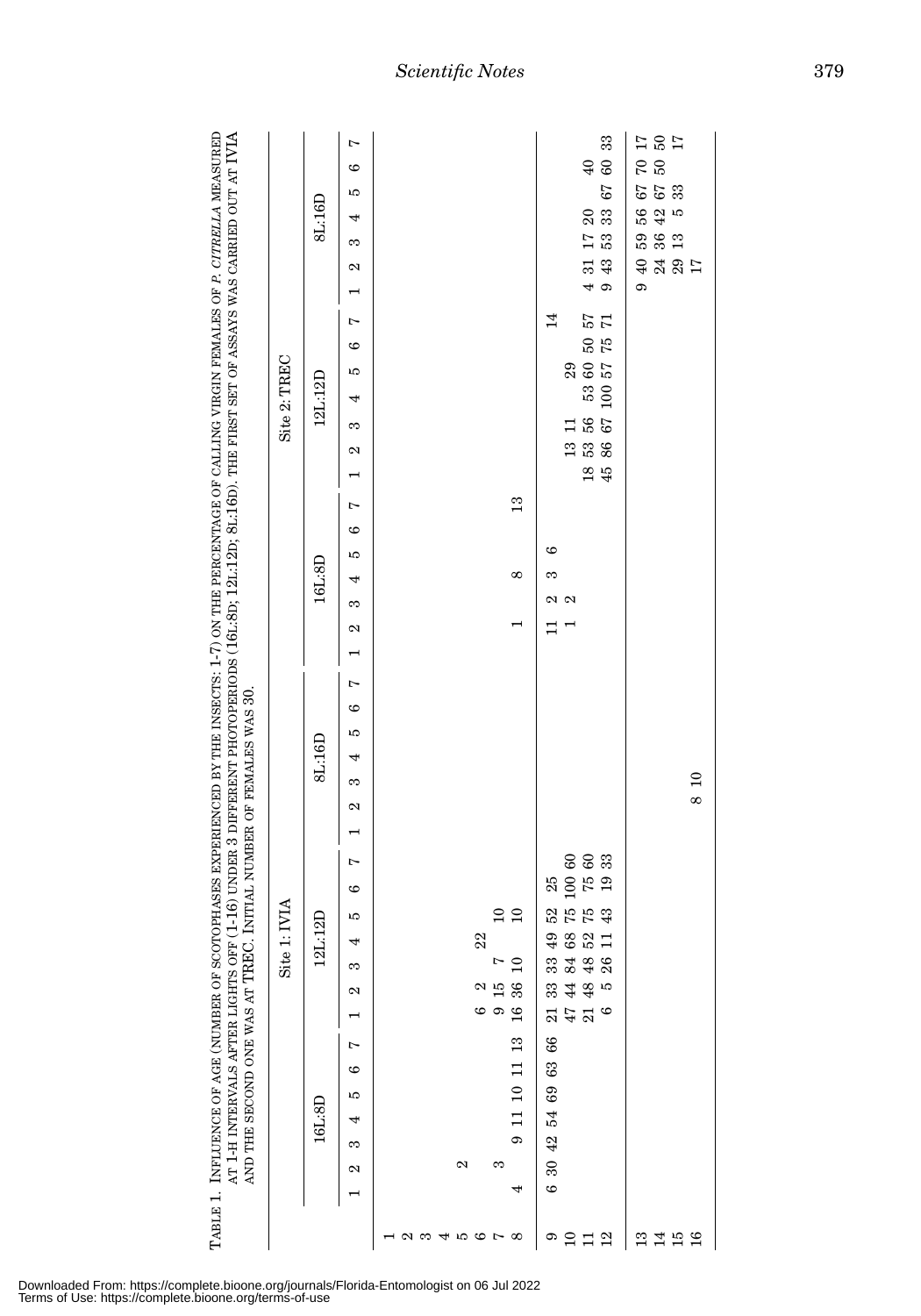| PF (1-16) UNDER 3 DIFFERENT PHOTOPERIODS (161:80; 121:120; 81:160). THE FIRST SET OF ASSAYS WAS CARRIED OUT AT IVIA<br>OTOPHASES EXPERIENCED BY THE INSECTS: 1-7) ON THE PERCENTAGE OF CALLING VIRGIN FEMALES OF P. CITRELLA MEASURED | $\mathrm{Si}$ te 2. TREC |
|---------------------------------------------------------------------------------------------------------------------------------------------------------------------------------------------------------------------------------------|--------------------------|
| C. INITIAL NUMBER OF FEMALES WAS 30.<br>TABLE 1. INFLUENCE OF AGE (NUMBER OF SCO<br>AT 1-H INTERVALS AFTER LIGHTS OF<br><b>NO THE SECOND ONE WAS AT TREE</b>                                                                          | aita<br>7                |

|                  | 8L:16D   | $\overline{ }$<br>G<br>rC<br>4<br>m<br>$\mathbf{\Omega}$<br>$\overline{a}$     |     |   |                                                                                                               |                                                             | $\Xi$                                                                                                                                           | 33<br>$^{60}_{\pm}$<br>67<br>$\frac{2}{3}$<br>$\frac{53}{5}$<br>43<br>$\frac{4}{5}$ თ | $\begin{array}{c}\n12 \\ 0 \\ 0\n\end{array}$<br>$^{0.9}$<br>67<br>53<br>33<br>$\mathfrak{g}$<br>56<br>42<br>58<br>36<br>13<br>48827<br>$\sigma$ |     |
|------------------|----------|--------------------------------------------------------------------------------|-----|---|---------------------------------------------------------------------------------------------------------------|-------------------------------------------------------------|-------------------------------------------------------------------------------------------------------------------------------------------------|---------------------------------------------------------------------------------------|--------------------------------------------------------------------------------------------------------------------------------------------------|-----|
| Site 2: TREC     | 12L:12D  | $\overline{a}$<br>$\circ$<br>LО<br>4<br>S<br>$\mathbf{\Omega}$<br>H            |     |   |                                                                                                               | 14                                                          | $\begin{array}{c} 29 \\ 60 \\ 57 \end{array}$<br>$\Box$<br>13<br>53<br>86                                                                       | $\frac{1}{2}$<br>$\frac{2}{5}$<br>$\frac{33}{100}$<br>$^{56}_{67}$<br>$\frac{45}{45}$ |                                                                                                                                                  |     |
|                  | 16L:8D   | $\overline{a}$<br>$\circ$<br>LО<br>4<br>m<br>$\mathbf{\Omega}$<br>$\mathbf{r}$ |     |   | $\frac{3}{2}$<br>$\infty$                                                                                     | ဖ<br>S<br>$\Box$                                            | $\approx$ $\approx$                                                                                                                             |                                                                                       |                                                                                                                                                  |     |
| , 1:IVIA<br>Site | 8L:16D   | $\overline{a}$<br>$\circ$<br>rC<br>4<br>S<br>2<br>$\mathbf{\mathsf{I}}$        |     |   |                                                                                                               |                                                             |                                                                                                                                                 |                                                                                       |                                                                                                                                                  | 810 |
|                  | 12L:12D  | $\overline{ }$<br>$\circ$<br>IJ<br>4<br>S<br>N<br>$\blacksquare$               |     |   | $\begin{array}{c} 10 \\ 1 \end{array}$<br>22<br>$\frac{0}{1}$<br>$15\,$ $36\,$<br>$\mathbf{\Omega}$<br>ဖ ၈ ဗ္ |                                                             | $\begin{array}{ccc} 49 & 52 & 25 \\ 68 & 75 & 100 & 60 \\ 52 & 75 & 75 & 60 \\ 11 & 43 & 19 & 33 \end{array}$<br>32 48 8<br>33 48<br>$347$ $30$ | Ю                                                                                     |                                                                                                                                                  |     |
|                  | $16L:8D$ | Ņ<br>6<br>Ю<br>4<br>S<br>2                                                     |     | Z | 11 10 11 13<br>c<br>S<br>4                                                                                    | $66\,$<br>63<br>$69\,$<br>$\frac{5}{4}$<br>30 42<br>$\circ$ |                                                                                                                                                 |                                                                                       |                                                                                                                                                  |     |
|                  |          |                                                                                | 125 |   | 45678                                                                                                         |                                                             | 0212                                                                                                                                            |                                                                                       | 2158                                                                                                                                             |     |

Downloaded From: https://complete.bioone.org/journals/Florida-Entomologist on 06 Jul 2022 Terms of Use: https://complete.bioone.org/terms-of-use

*Scientific Notes* 379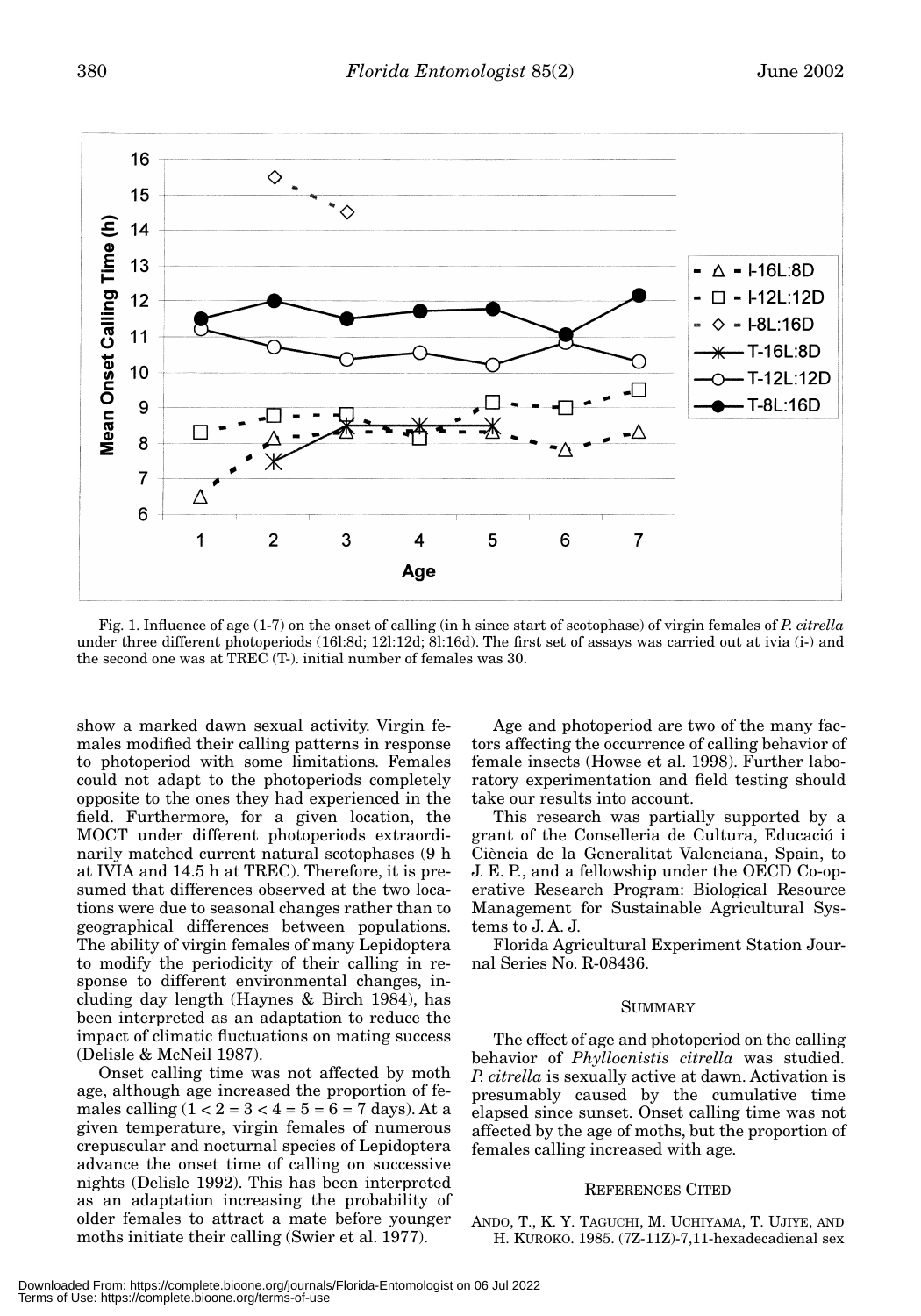

Fig. 1. Influence of age (1-7) on the onset of calling (in h since start of scotophase) of virgin females of *P. citrella* under three different photoperiods (16l:8d; 12l:12d; 8l:16d). The first set of assays was carried out at ivia (i-) and the second one was at TREC (T-). initial number of females was 30.

show a marked dawn sexual activity. Virgin females modified their calling patterns in response to photoperiod with some limitations. Females could not adapt to the photoperiods completely opposite to the ones they had experienced in the field. Furthermore, for a given location, the MOCT under different photoperiods extraordinarily matched current natural scotophases (9 h at IVIA and 14.5 h at TREC). Therefore, it is presumed that differences observed at the two locations were due to seasonal changes rather than to geographical differences between populations. The ability of virgin females of many Lepidoptera to modify the periodicity of their calling in response to different environmental changes, including day length (Haynes & Birch 1984), has been interpreted as an adaptation to reduce the impact of climatic fluctuations on mating success (Delisle & McNeil 1987).

Onset calling time was not affected by moth age, although age increased the proportion of females calling  $(1 < 2 = 3 < 4 = 5 = 6 = 7$  days). At a given temperature, virgin females of numerous crepuscular and nocturnal species of Lepidoptera advance the onset time of calling on successive nights (Delisle 1992). This has been interpreted as an adaptation increasing the probability of older females to attract a mate before younger moths initiate their calling (Swier et al. 1977).

Age and photoperiod are two of the many factors affecting the occurrence of calling behavior of female insects (Howse et al. 1998). Further laboratory experimentation and field testing should take our results into account.

This research was partially supported by a grant of the Conselleria de Cultura, Educació i Ciència de la Generalitat Valenciana, Spain, to J. E. P., and a fellowship under the OECD Co-operative Research Program: Biological Resource Management for Sustainable Agricultural Systems to J. A. J.

Florida Agricultural Experiment Station Journal Series No. R-08436.

## SUMMARY

The effect of age and photoperiod on the calling behavior of *Phyllocnistis citrella* was studied. *P. citrella* is sexually active at dawn. Activation is presumably caused by the cumulative time elapsed since sunset. Onset calling time was not affected by the age of moths, but the proportion of females calling increased with age.

## REFERENCES CITED

ANDO, T., K. Y. TAGUCHI, M. UCHIYAMA, T. UJIYE, AND H. KUROKO. 1985. (7Z-11Z)-7,11-hexadecadienal sex